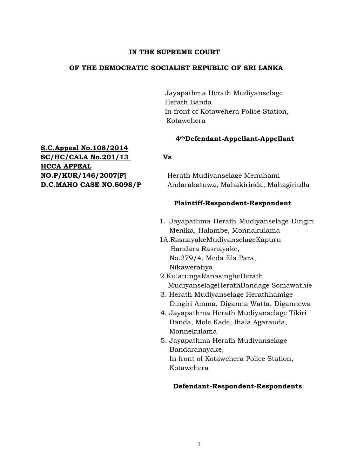# **IN THE SUPREME COURT**

# **OF THE DEMOCRATIC SOCIALIST REPUBLIC OF SRI LANKA**

 Jayapathma Herath Mudiyanselage Herath Banda In front of Kotawehera Police Station, Kotawehera

# **4thDefendant-Appellant-Appellant**

**NO.P/KUR/146/2007[F]** Herath Mudiyanselage Menuhami **D.C.MAHO CASE NO.5098/P** Andarakatuwa, Mahakirinda, Mahagiriulla

# **Plaintiff-Respondent-Respondent**

- 1. Jayapathma Herath Mudiyanselage Dingiri Menika, Halambe, Monnakulama
- 1A.RasnayakeMudiyanselageKapuru Bandara Rasnayake, No.279/4, Meda Ela Para, Nikaweratiya
- 2.KulatungaRanasingheHerath MudiyanselageHerathBandage Somawathie
- 3. Herath Mudiyanselage Herathhamige Dingiri Amma, Diganna Watta, Digannewa
- 4. Jayapathma Herath Mudiyanselage Tikiri Banda, Mole Kade, Ihala Agarauda, Monnekulama
- 5. Jayapathma Herath Mudiyanselage Bandaranayake, In front of Kotawehera Police Station, Kotawehera

# **Defendant-Respondent-Respondents**

**S.C.Appeal No.108/2014 SC/HC/CALA No.201/13 Vs HCCA APPEAL**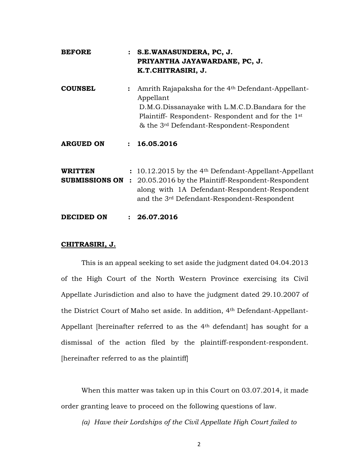| <b>BEFORE</b>                             |                | : S.E.WANASUNDERA, PC, J.<br>PRIYANTHA JAYAWARDANE, PC, J.<br>K.T.CHITRASIRI, J.                                                                                                                                                                      |
|-------------------------------------------|----------------|-------------------------------------------------------------------------------------------------------------------------------------------------------------------------------------------------------------------------------------------------------|
| <b>COUNSEL</b>                            |                | Amrith Rajapaksha for the 4 <sup>th</sup> Defendant-Appellant-<br>Appellant<br>D.M.G.Dissanayake with L.M.C.D.Bandara for the<br>Plaintiff-Respondent-Respondent and for the 1 <sup>st</sup><br>& the 3 <sup>rd</sup> Defendant-Respondent-Respondent |
| <b>ARGUED ON</b>                          | $\ddot{\cdot}$ | 16.05.2016                                                                                                                                                                                                                                            |
| <b>WRITTEN</b><br><b>SUBMISSIONS ON :</b> |                | $: 10.12.2015$ by the 4 <sup>th</sup> Defendant-Appellant-Appellant<br>20.05.2016 by the Plaintiff-Respondent-Respondent<br>along with 1A Defendant-Respondent-Respondent<br>and the 3 <sup>rd</sup> Defendant-Respondent-Respondent                  |

**DECIDED ON : 26.07.2016**

# **CHITRASIRI, J.**

This is an appeal seeking to set aside the judgment dated 04.04.2013 of the High Court of the North Western Province exercising its Civil Appellate Jurisdiction and also to have the judgment dated 29.10.2007 of the District Court of Maho set aside. In addition, 4th Defendant-Appellant-Appellant [hereinafter referred to as the 4<sup>th</sup> defendant] has sought for a dismissal of the action filed by the plaintiff-respondent-respondent. [hereinafter referred to as the plaintiff]

When this matter was taken up in this Court on 03.07.2014, it made order granting leave to proceed on the following questions of law.

*(a) Have their Lordships of the Civil Appellate High Court failed to*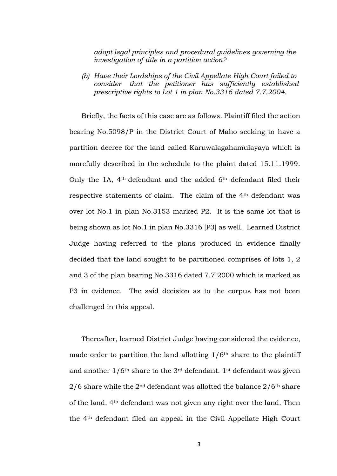*adopt legal principles and procedural guidelines governing the investigation of title in a partition action?*

*(b) Have their Lordships of the Civil Appellate High Court failed to consider that the petitioner has sufficiently established prescriptive rights to Lot 1 in plan No.3316 dated 7.7.2004.* 

Briefly, the facts of this case are as follows. Plaintiff filed the action bearing No.5098/P in the District Court of Maho seeking to have a partition decree for the land called Karuwalagahamulayaya which is morefully described in the schedule to the plaint dated 15.11.1999. Only the 1A, 4th defendant and the added 6th defendant filed their respective statements of claim. The claim of the 4th defendant was over lot No.1 in plan No.3153 marked P2. It is the same lot that is being shown as lot No.1 in plan No.3316 [P3] as well. Learned District Judge having referred to the plans produced in evidence finally decided that the land sought to be partitioned comprises of lots 1, 2 and 3 of the plan bearing No.3316 dated 7.7.2000 which is marked as P3 in evidence. The said decision as to the corpus has not been challenged in this appeal.

Thereafter, learned District Judge having considered the evidence, made order to partition the land allotting  $1/6<sup>th</sup>$  share to the plaintiff and another  $1/6$ <sup>th</sup> share to the 3<sup>rd</sup> defendant. 1<sup>st</sup> defendant was given  $2/6$  share while the  $2<sup>nd</sup>$  defendant was allotted the balance  $2/6<sup>th</sup>$  share of the land. 4th defendant was not given any right over the land. Then the 4th defendant filed an appeal in the Civil Appellate High Court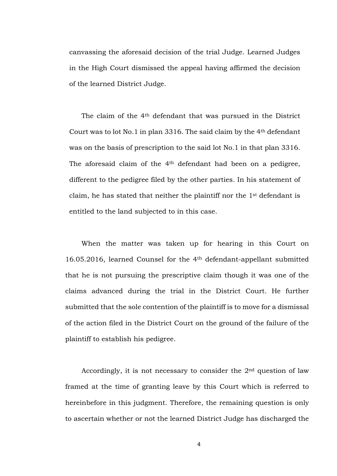canvassing the aforesaid decision of the trial Judge. Learned Judges in the High Court dismissed the appeal having affirmed the decision of the learned District Judge.

The claim of the 4th defendant that was pursued in the District Court was to lot No.1 in plan 3316. The said claim by the 4th defendant was on the basis of prescription to the said lot No.1 in that plan 3316. The aforesaid claim of the 4<sup>th</sup> defendant had been on a pedigree, different to the pedigree filed by the other parties. In his statement of claim, he has stated that neither the plaintiff nor the 1st defendant is entitled to the land subjected to in this case.

When the matter was taken up for hearing in this Court on 16.05.2016, learned Counsel for the 4th defendant-appellant submitted that he is not pursuing the prescriptive claim though it was one of the claims advanced during the trial in the District Court. He further submitted that the sole contention of the plaintiff is to move for a dismissal of the action filed in the District Court on the ground of the failure of the plaintiff to establish his pedigree.

Accordingly, it is not necessary to consider the 2nd question of law framed at the time of granting leave by this Court which is referred to hereinbefore in this judgment. Therefore, the remaining question is only to ascertain whether or not the learned District Judge has discharged the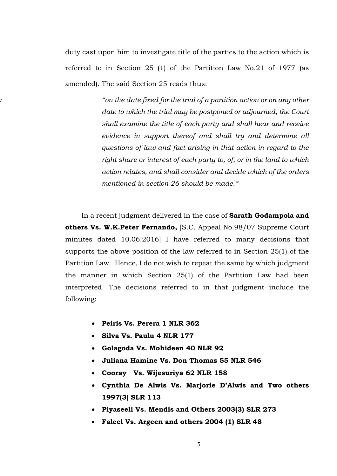duty cast upon him to investigate title of the parties to the action which is referred to in Section 25 (1) of the Partition Law No.21 of 1977 (as amended). The said Section 25 reads thus:

"*on the da "on the date fixed for the trial of a partition action or on any other date to which the trial may be postponed or adjourned, the Court shall examine the title of each party and shall hear and receive evidence in support thereof and shall try and determine all questions of law and fact arising in that action in regard to the right share or interest of each party to, of, or in the land to which action relates, and shall consider and decide which of the orders mentioned in section 26 should be made."* 

> In a recent judgment delivered in the case of **Sarath Godampola and others Vs. W.K.Peter Fernando,** [S.C. Appeal No.98/07 Supreme Court minutes dated 10.06.2016] I have referred to many decisions that supports the above position of the law referred to in Section 25(1) of the Partition Law. Hence, I do not wish to repeat the same by which judgment the manner in which Section 25(1) of the Partition Law had been interpreted. The decisions referred to in that judgment include the following:

- **Peiris Vs. Perera 1 NLR 362**
- **Silva Vs. Paulu 4 NLR 177**
- **Golagoda Vs. Mohideen 40 NLR 92**
- **Juliana Hamine Vs. Don Thomas 55 NLR 546**
- **Cooray Vs. Wijesuriya 62 NLR 158**
- **Cynthia De Alwis Vs. Marjorie D'Alwis and Two others 1997(3) SLR 113**
- **Piyaseeli Vs. Mendis and Others 2003(3) SLR 273**
- **Faleel Vs. Argeen and others 2004 (1) SLR 48**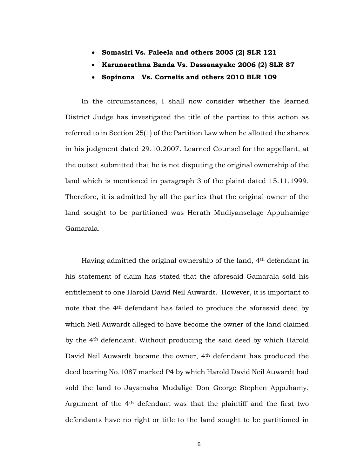- **Somasiri Vs. Faleela and others 2005 (2) SLR 121**
- **Karunarathna Banda Vs. Dassanayake 2006 (2) SLR 87**
- **Sopinona Vs. Cornelis and others 2010 BLR 109**

In the circumstances, I shall now consider whether the learned District Judge has investigated the title of the parties to this action as referred to in Section 25(1) of the Partition Law when he allotted the shares in his judgment dated 29.10.2007. Learned Counsel for the appellant, at the outset submitted that he is not disputing the original ownership of the land which is mentioned in paragraph 3 of the plaint dated 15.11.1999. Therefore, it is admitted by all the parties that the original owner of the land sought to be partitioned was Herath Mudiyanselage Appuhamige Gamarala.

Having admitted the original ownership of the land, 4th defendant in his statement of claim has stated that the aforesaid Gamarala sold his entitlement to one Harold David Neil Auwardt. However, it is important to note that the 4th defendant has failed to produce the aforesaid deed by which Neil Auwardt alleged to have become the owner of the land claimed by the 4th defendant. Without producing the said deed by which Harold David Neil Auwardt became the owner, 4th defendant has produced the deed bearing No.1087 marked P4 by which Harold David Neil Auwardt had sold the land to Jayamaha Mudalige Don George Stephen Appuhamy. Argument of the 4th defendant was that the plaintiff and the first two defendants have no right or title to the land sought to be partitioned in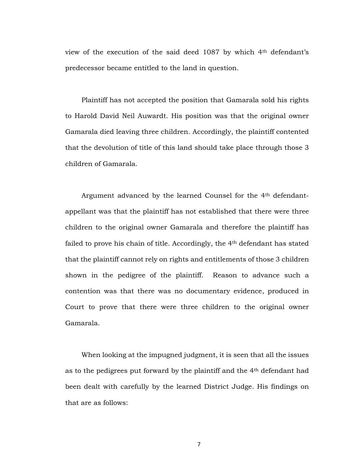view of the execution of the said deed 1087 by which 4th defendant's predecessor became entitled to the land in question.

Plaintiff has not accepted the position that Gamarala sold his rights to Harold David Neil Auwardt. His position was that the original owner Gamarala died leaving three children. Accordingly, the plaintiff contented that the devolution of title of this land should take place through those 3 children of Gamarala.

Argument advanced by the learned Counsel for the 4th defendantappellant was that the plaintiff has not established that there were three children to the original owner Gamarala and therefore the plaintiff has failed to prove his chain of title. Accordingly, the 4th defendant has stated that the plaintiff cannot rely on rights and entitlements of those 3 children shown in the pedigree of the plaintiff. Reason to advance such a contention was that there was no documentary evidence, produced in Court to prove that there were three children to the original owner Gamarala.

When looking at the impugned judgment, it is seen that all the issues as to the pedigrees put forward by the plaintiff and the 4th defendant had been dealt with carefully by the learned District Judge. His findings on that are as follows:

7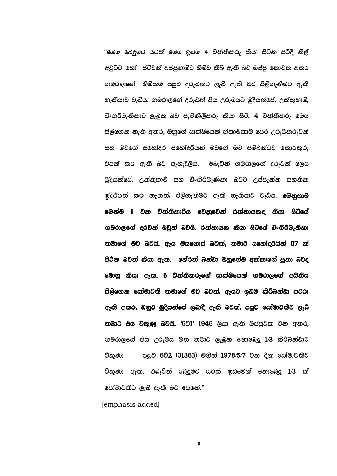"මෙම බෙදුමට යටත් මෙම ඉඩම 4 විත්තිකරු කියා සිටින පරිදි නීල් අවුට්ට හෝ ස්ටීවන් අප්පුහාමිට හිමිව තිබී ඇති බව ඔප්පු නොවන අතර ගමරාලගේ .හිමිකම පසුව දරුවනට ලැබී ඇති බව පිලිගැනීමට ඇති නැකියාව වැඩිය. ගමරාලගේ දරුවන් පිය උරුමයට මුදියන්සේ, උක්කුහාම්, ඩිංගරීමැනිකාට ලැබුන බව පැමිණිලිකරු කියා සිටී. 4 විත්තිකරු මෙය පිලිගෙන නැති අතර, ඔහුගේ සාක්ෂියෙන් නිතාමතාම පෙර උරුමකරුවන් සහ මවගේ සහෝදර සහෝදරීයන් මවගේ මව සම්බන්ධව තොරතුරු වසන් කර ඇති බව පැහැදිලිය. එබැවින් ගමරාලගේ දරුවන් ලෙස මුදියන්සේ, උක්කුහාම් සහ ඩිංගිරීමැණිකා බවට උප්පැන්න සහතික ඉදිරිපත් කර නැතත්, පිලිගැනීමට ඇති හැකියාව වැඩිය. **මෙනුනාමි** මෙන්ම 1 වන විත්තිකාරීය වෙනුවෙන් රත්නායකද කියා සිටියේ ගමරාලගේ දරවන් ඔවුන් බවයි. රත්නායක කියා සිටියේ ඩිංගිරීමැනිකා තමාගේ මව බවයි. ඇය මියගොස් බවත්, තමාට සහෝදරීයින් 07 ක් සිටින බවත් කියා ඇත. හේරත් බන්ඩා ඔහුගේම අක්කාගේ පුතා බවද මොනු කියා ඇත. 6 විත්තිකරුගේ සාක්ෂියෙන් ගමරාලගේ අයිතිය පිලිගෙන සෝමාවතී තමාගේ මව බවත්, ඇයට ඉඩම කිරීබන්ඩා පවරා ඇති අතර, ඔහුට මුදියන්සේ ලබාදී ඇති බවත්, පසුව සෝමාවතීට ලැබ් තමාට එය විකුණු බවයි. '6වි $1'$  1946 ලියා ඇති ඔප්පුවක් වන අතර, ගමරාලගේ පිය උරුමය මත තමාට ලැබුන නොබෙදු 1/3 කිරීබන්ඩාට විකුණා පසුව 6වි2 (31863) මගින් 1978/5/7 වන දින සෝමාවතීට විකුණා ඇත. එබැවින් බෙදුමට යටත් ඉඩමෙන් නොබෙදු  $1/3$  ක් සෝමාවනීට ලැබී ඇති බව පෙනේ. $"$ 

[emphasis added]

8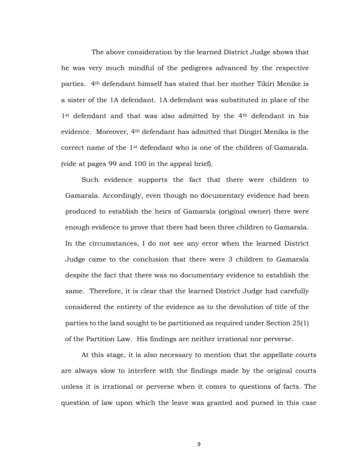The above consideration by the learned District Judge shows that he was very much mindful of the pedigrees advanced by the respective parties. 4th defendant himself has stated that her mother Tikiri Menike is a sister of the 1A defendant. 1A defendant was substituted in place of the 1<sup>st</sup> defendant and that was also admitted by the 4<sup>th</sup> defendant in his evidence. Moreover, 4th defendant has admitted that Dingiri Menika is the correct name of the 1st defendant who is one of the children of Gamarala. (vide at pages 99 and 100 in the appeal brief).

Such evidence supports the fact that there were children to Gamarala. Accordingly, even though no documentary evidence had been produced to establish the heirs of Gamarala (original owner) there were enough evidence to prove that there had been three children to Gamarala. In the circumstances, I do not see any error when the learned District Judge came to the conclusion that there were 3 children to Gamarala despite the fact that there was no documentary evidence to establish the same. Therefore, it is clear that the learned District Judge had carefully considered the entirety of the evidence as to the devolution of title of the parties to the land sought to be partitioned as required under Section 25(1) of the Partition Law. His findings are neither irrational nor perverse.

At this stage, it is also necessary to mention that the appellate courts are always slow to interfere with the findings made by the original courts unless it is irrational or perverse when it comes to questions of facts. The question of law upon which the leave was granted and pursed in this case

9